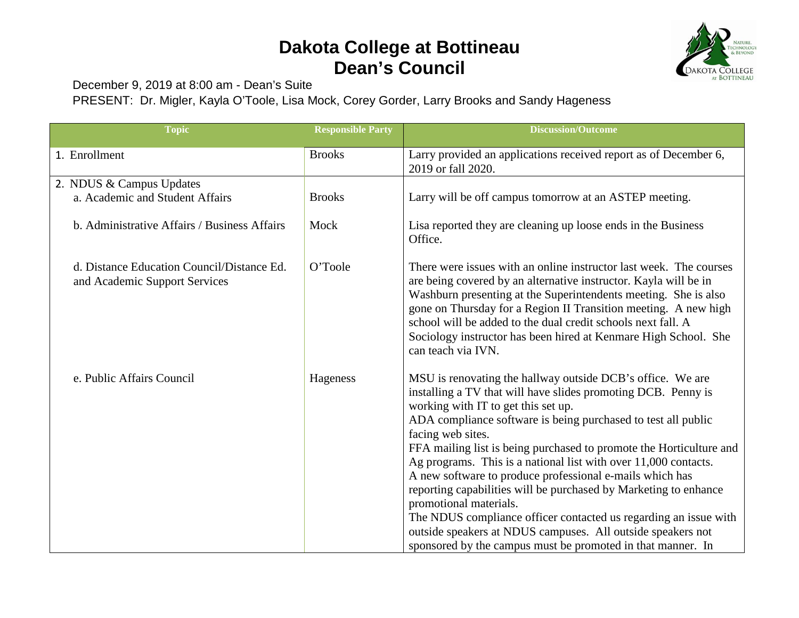## **Dakota College at Bottineau Dean's Council**



December 9, 2019 at 8:00 am - Dean's Suite

PRESENT: Dr. Migler, Kayla O'Toole, Lisa Mock, Corey Gorder, Larry Brooks and Sandy Hageness

| <b>Topic</b>                                                                | <b>Responsible Party</b> | <b>Discussion/Outcome</b>                                                                                                                                                                                                                                                                                                                                                                                                                                                                                                                                                                                                                                                                                                                                      |
|-----------------------------------------------------------------------------|--------------------------|----------------------------------------------------------------------------------------------------------------------------------------------------------------------------------------------------------------------------------------------------------------------------------------------------------------------------------------------------------------------------------------------------------------------------------------------------------------------------------------------------------------------------------------------------------------------------------------------------------------------------------------------------------------------------------------------------------------------------------------------------------------|
| 1. Enrollment                                                               | <b>Brooks</b>            | Larry provided an applications received report as of December 6,<br>2019 or fall 2020.                                                                                                                                                                                                                                                                                                                                                                                                                                                                                                                                                                                                                                                                         |
| 2. NDUS & Campus Updates                                                    |                          |                                                                                                                                                                                                                                                                                                                                                                                                                                                                                                                                                                                                                                                                                                                                                                |
| a. Academic and Student Affairs                                             | <b>Brooks</b>            | Larry will be off campus tomorrow at an ASTEP meeting.                                                                                                                                                                                                                                                                                                                                                                                                                                                                                                                                                                                                                                                                                                         |
| b. Administrative Affairs / Business Affairs                                | Mock                     | Lisa reported they are cleaning up loose ends in the Business<br>Office.                                                                                                                                                                                                                                                                                                                                                                                                                                                                                                                                                                                                                                                                                       |
| d. Distance Education Council/Distance Ed.<br>and Academic Support Services | O'Toole                  | There were issues with an online instructor last week. The courses<br>are being covered by an alternative instructor. Kayla will be in<br>Washburn presenting at the Superintendents meeting. She is also<br>gone on Thursday for a Region II Transition meeting. A new high<br>school will be added to the dual credit schools next fall. A<br>Sociology instructor has been hired at Kenmare High School. She<br>can teach via IVN.                                                                                                                                                                                                                                                                                                                          |
| e. Public Affairs Council                                                   | Hageness                 | MSU is renovating the hallway outside DCB's office. We are<br>installing a TV that will have slides promoting DCB. Penny is<br>working with IT to get this set up.<br>ADA compliance software is being purchased to test all public<br>facing web sites.<br>FFA mailing list is being purchased to promote the Horticulture and<br>Ag programs. This is a national list with over 11,000 contacts.<br>A new software to produce professional e-mails which has<br>reporting capabilities will be purchased by Marketing to enhance<br>promotional materials.<br>The NDUS compliance officer contacted us regarding an issue with<br>outside speakers at NDUS campuses. All outside speakers not<br>sponsored by the campus must be promoted in that manner. In |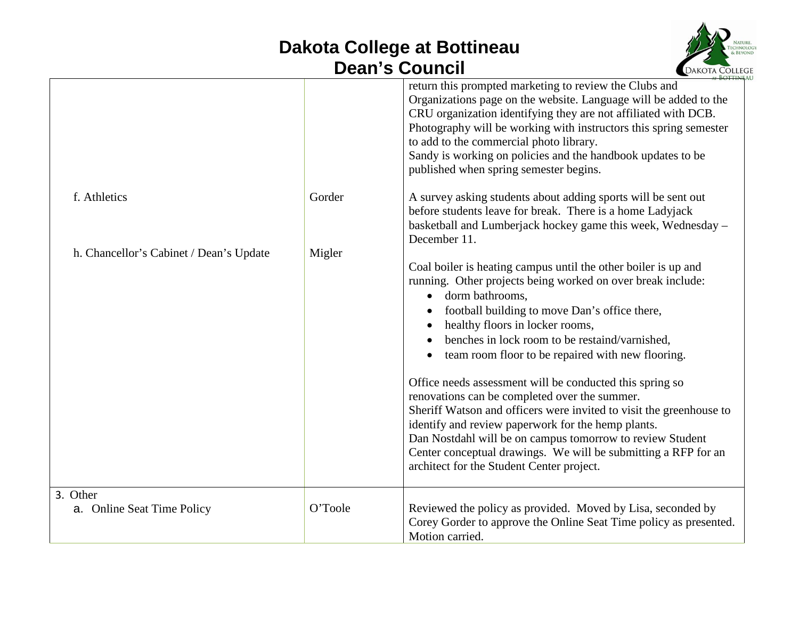## **Dakota College at Bottineau Dean's Council**



|                                         |         | return this prompted marketing to review the Clubs and<br>Organizations page on the website. Language will be added to the<br>CRU organization identifying they are not affiliated with DCB.<br>Photography will be working with instructors this spring semester<br>to add to the commercial photo library.<br>Sandy is working on policies and the handbook updates to be<br>published when spring semester begins.                                                                                                                                                                                                                                                                                                                                                          |
|-----------------------------------------|---------|--------------------------------------------------------------------------------------------------------------------------------------------------------------------------------------------------------------------------------------------------------------------------------------------------------------------------------------------------------------------------------------------------------------------------------------------------------------------------------------------------------------------------------------------------------------------------------------------------------------------------------------------------------------------------------------------------------------------------------------------------------------------------------|
| f. Athletics                            | Gorder  | A survey asking students about adding sports will be sent out<br>before students leave for break. There is a home Ladyjack<br>basketball and Lumberjack hockey game this week, Wednesday –<br>December 11.                                                                                                                                                                                                                                                                                                                                                                                                                                                                                                                                                                     |
| h. Chancellor's Cabinet / Dean's Update | Migler  | Coal boiler is heating campus until the other boiler is up and<br>running. Other projects being worked on over break include:<br>dorm bathrooms.<br>football building to move Dan's office there,<br>healthy floors in locker rooms,<br>benches in lock room to be restaind/varnished.<br>team room floor to be repaired with new flooring.<br>$\bullet$<br>Office needs assessment will be conducted this spring so<br>renovations can be completed over the summer.<br>Sheriff Watson and officers were invited to visit the greenhouse to<br>identify and review paperwork for the hemp plants.<br>Dan Nostdahl will be on campus tomorrow to review Student<br>Center conceptual drawings. We will be submitting a RFP for an<br>architect for the Student Center project. |
| 3. Other<br>a. Online Seat Time Policy  | O'Toole | Reviewed the policy as provided. Moved by Lisa, seconded by<br>Corey Gorder to approve the Online Seat Time policy as presented.<br>Motion carried.                                                                                                                                                                                                                                                                                                                                                                                                                                                                                                                                                                                                                            |